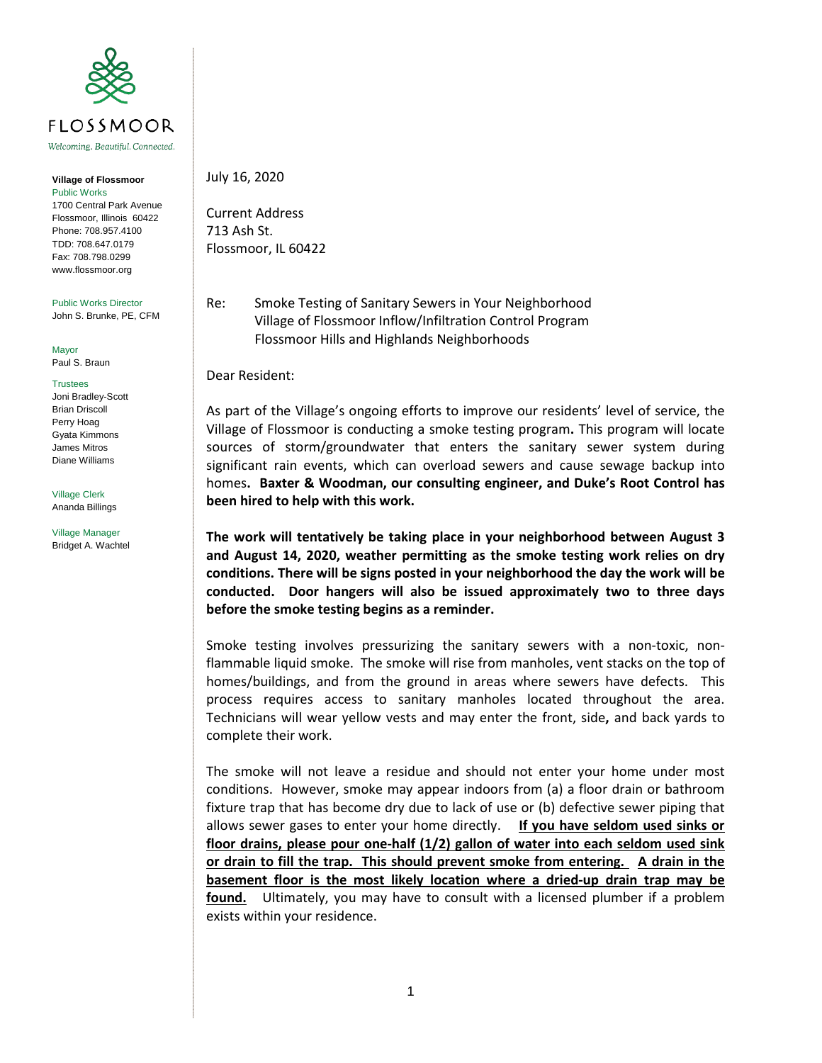

Welcoming. Beautiful. Connected.

## **Village of Flossmoor** Public Works 1700 Central Park Avenue Flossmoor, Illinois 60422 Phone: 708.957.4100 TDD: 708.647.0179 Fax: 708.798.0299 www.flossmoor.org

Public Works Director

John S. Brunke, PE, CFM

Mayor Paul S. Braun

## **Trustees**

Joni Bradley-Scott Brian Driscoll Perry Hoag Gyata Kimmons James Mitros Diane Williams

Village Clerk Ananda Billings

Village Manager Bridget A. Wachtel

## July 16, 2020

Current Address 713 Ash St. Flossmoor, IL 60422

Re: Smoke Testing of Sanitary Sewers in Your Neighborhood Village of Flossmoor Inflow/Infiltration Control Program Flossmoor Hills and Highlands Neighborhoods

Dear Resident:

As part of the Village's ongoing efforts to improve our residents' level of service, the Village of Flossmoor is conducting a smoke testing program**.** This program will locate sources of storm/groundwater that enters the sanitary sewer system during significant rain events, which can overload sewers and cause sewage backup into homes**. Baxter & Woodman, our consulting engineer, and Duke's Root Control has been hired to help with this work.**

**The work will tentatively be taking place in your neighborhood between August 3 and August 14, 2020, weather permitting as the smoke testing work relies on dry conditions. There will be signs posted in your neighborhood the day the work will be conducted. Door hangers will also be issued approximately two to three days before the smoke testing begins as a reminder.** 

Smoke testing involves pressurizing the sanitary sewers with a non-toxic, nonflammable liquid smoke. The smoke will rise from manholes, vent stacks on the top of homes/buildings, and from the ground in areas where sewers have defects. This process requires access to sanitary manholes located throughout the area. Technicians will wear yellow vests and may enter the front, side**,** and back yards to complete their work.

The smoke will not leave a residue and should not enter your home under most conditions. However, smoke may appear indoors from (a) a floor drain or bathroom fixture trap that has become dry due to lack of use or (b) defective sewer piping that allows sewer gases to enter your home directly. **If you have seldom used sinks or floor drains, please pour one-half (1/2) gallon of water into each seldom used sink or drain to fill the trap. This should prevent smoke from entering. A drain in the basement floor is the most likely location where a dried-up drain trap may be found.** Ultimately, you may have to consult with a licensed plumber if a problem exists within your residence.